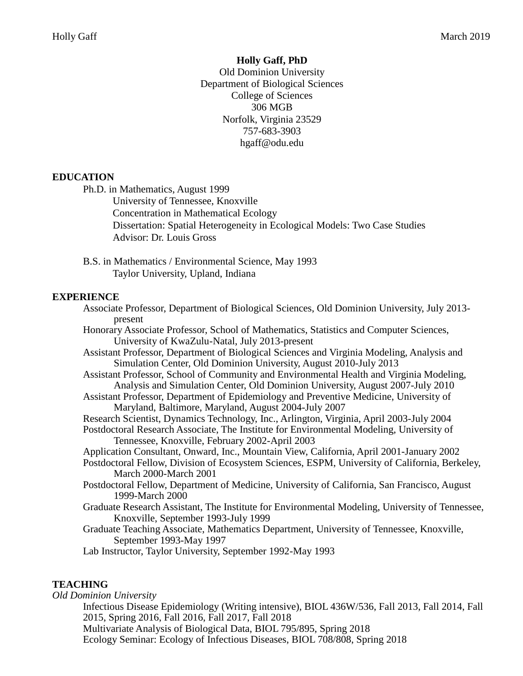#### **Holly Gaff, PhD**

Old Dominion University Department of Biological Sciences College of Sciences 306 MGB Norfolk, Virginia 23529 757-683-3903 hgaff@odu.edu

#### **EDUCATION**

Ph.D. in Mathematics, August 1999

University of Tennessee, Knoxville Concentration in Mathematical Ecology Dissertation: Spatial Heterogeneity in Ecological Models: Two Case Studies Advisor: Dr. Louis Gross

B.S. in Mathematics / Environmental Science, May 1993 Taylor University, Upland, Indiana

#### **EXPERIENCE**

Associate Professor, Department of Biological Sciences, Old Dominion University, July 2013 present Honorary Associate Professor, School of Mathematics, Statistics and Computer Sciences, University of KwaZulu-Natal, July 2013-present Assistant Professor, Department of Biological Sciences and Virginia Modeling, Analysis and Simulation Center, Old Dominion University, August 2010-July 2013 Assistant Professor, School of Community and Environmental Health and Virginia Modeling, Analysis and Simulation Center, Old Dominion University, August 2007-July 2010 Assistant Professor, Department of Epidemiology and Preventive Medicine, University of Maryland, Baltimore, Maryland, August 2004-July 2007 Research Scientist, Dynamics Technology, Inc., Arlington, Virginia, April 2003-July 2004 Postdoctoral Research Associate, The Institute for Environmental Modeling, University of Tennessee, Knoxville, February 2002-April 2003 Application Consultant, Onward, Inc., Mountain View, California, April 2001-January 2002 Postdoctoral Fellow, Division of Ecosystem Sciences, ESPM, University of California, Berkeley, March 2000-March 2001 Postdoctoral Fellow, Department of Medicine, University of California, San Francisco, August 1999-March 2000 Graduate Research Assistant, The Institute for Environmental Modeling, University of Tennessee, Knoxville, September 1993-July 1999 Graduate Teaching Associate, Mathematics Department, University of Tennessee, Knoxville, September 1993-May 1997 Lab Instructor, Taylor University, September 1992-May 1993

#### **TEACHING**

*Old Dominion University*

Infectious Disease Epidemiology (Writing intensive), BIOL 436W/536, Fall 2013, Fall 2014, Fall 2015, Spring 2016, Fall 2016, Fall 2017, Fall 2018 Multivariate Analysis of Biological Data, BIOL 795/895, Spring 2018 Ecology Seminar: Ecology of Infectious Diseases, BIOL 708/808, Spring 2018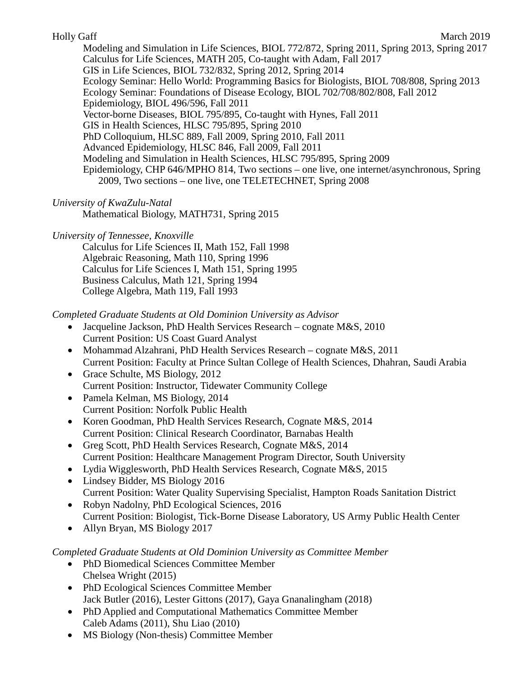Modeling and Simulation in Life Sciences, BIOL 772/872, Spring 2011, Spring 2013, Spring 2017 Calculus for Life Sciences, MATH 205, Co-taught with Adam, Fall 2017 GIS in Life Sciences, BIOL 732/832, Spring 2012, Spring 2014 Ecology Seminar: Hello World: Programming Basics for Biologists, BIOL 708/808, Spring 2013 Ecology Seminar: Foundations of Disease Ecology, BIOL 702/708/802/808, Fall 2012 Epidemiology, BIOL 496/596, Fall 2011 Vector-borne Diseases, BIOL 795/895, Co-taught with Hynes, Fall 2011 GIS in Health Sciences, HLSC 795/895, Spring 2010 PhD Colloquium, HLSC 889, Fall 2009, Spring 2010, Fall 2011 Advanced Epidemiology, HLSC 846, Fall 2009, Fall 2011 Modeling and Simulation in Health Sciences, HLSC 795/895, Spring 2009 Epidemiology, CHP 646/MPHO 814, Two sections – one live, one internet/asynchronous, Spring 2009, Two sections – one live, one TELETECHNET, Spring 2008

## *University of KwaZulu-Natal*

Mathematical Biology, MATH731, Spring 2015

## *University of Tennessee, Knoxville*

Calculus for Life Sciences II, Math 152, Fall 1998 Algebraic Reasoning, Math 110, Spring 1996 Calculus for Life Sciences I, Math 151, Spring 1995 Business Calculus, Math 121, Spring 1994 College Algebra, Math 119, Fall 1993

## *Completed Graduate Students at Old Dominion University as Advisor*

- Jacqueline Jackson, PhD Health Services Research cognate M&S, 2010 Current Position: US Coast Guard Analyst
- Mohammad Alzahrani, PhD Health Services Research cognate M&S, 2011 Current Position: Faculty at Prince Sultan College of Health Sciences, Dhahran, Saudi Arabia
- Grace Schulte, MS Biology, 2012 Current Position: Instructor, Tidewater Community College
- Pamela Kelman, MS Biology, 2014 Current Position: Norfolk Public Health
- Koren Goodman, PhD Health Services Research, Cognate M&S, 2014 Current Position: Clinical Research Coordinator, Barnabas Health
- Greg Scott, PhD Health Services Research, Cognate M&S, 2014 Current Position: Healthcare Management Program Director, South University
- Lydia Wigglesworth, PhD Health Services Research, Cognate M&S, 2015
- Lindsey Bidder, MS Biology 2016 Current Position: Water Quality Supervising Specialist, Hampton Roads Sanitation District
- Robyn Nadolny, PhD Ecological Sciences, 2016 Current Position: Biologist, Tick-Borne Disease Laboratory, US Army Public Health Center
- Allyn Bryan, MS Biology 2017

## *Completed Graduate Students at Old Dominion University as Committee Member*

- PhD Biomedical Sciences Committee Member Chelsea Wright (2015)
- PhD Ecological Sciences Committee Member Jack Butler (2016), Lester Gittons (2017), Gaya Gnanalingham (2018)
- PhD Applied and Computational Mathematics Committee Member Caleb Adams (2011), Shu Liao (2010)
- MS Biology (Non-thesis) Committee Member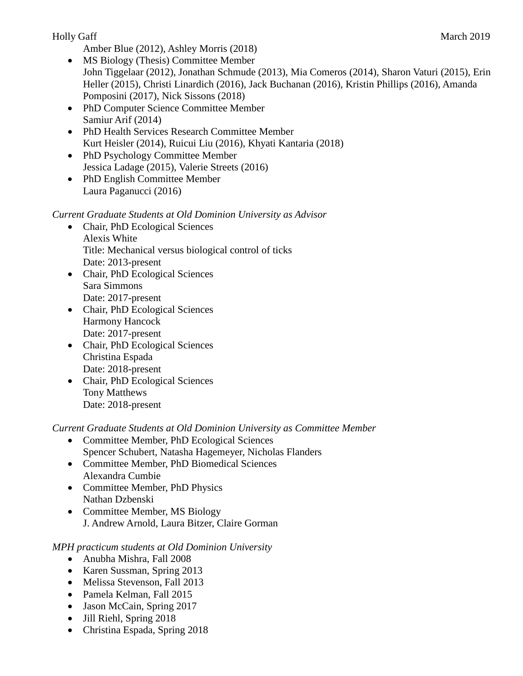Amber Blue (2012), Ashley Morris (2018)

- MS Biology (Thesis) Committee Member John Tiggelaar (2012), Jonathan Schmude (2013), Mia Comeros (2014), Sharon Vaturi (2015), Erin Heller (2015), Christi Linardich (2016), Jack Buchanan (2016), Kristin Phillips (2016), Amanda Pomposini (2017), Nick Sissons (2018)
- PhD Computer Science Committee Member Samiur Arif (2014)
- PhD Health Services Research Committee Member Kurt Heisler (2014), Ruicui Liu (2016), Khyati Kantaria (2018)
- PhD Psychology Committee Member Jessica Ladage (2015), Valerie Streets (2016)
- PhD English Committee Member Laura Paganucci (2016)

## *Current Graduate Students at Old Dominion University as Advisor*

- Chair, PhD Ecological Sciences Alexis White Title: Mechanical versus biological control of ticks Date: 2013-present
- Chair, PhD Ecological Sciences Sara Simmons Date: 2017-present
- Chair, PhD Ecological Sciences Harmony Hancock Date: 2017-present
- Chair, PhD Ecological Sciences Christina Espada Date: 2018-present
- Chair, PhD Ecological Sciences Tony Matthews Date: 2018-present

*Current Graduate Students at Old Dominion University as Committee Member*

- Committee Member, PhD Ecological Sciences Spencer Schubert, Natasha Hagemeyer, Nicholas Flanders
- Committee Member, PhD Biomedical Sciences Alexandra Cumbie
- Committee Member, PhD Physics Nathan Dzbenski
- Committee Member, MS Biology J. Andrew Arnold, Laura Bitzer, Claire Gorman

*MPH practicum students at Old Dominion University*

- Anubha Mishra, Fall 2008
- Karen Sussman, Spring 2013
- Melissa Stevenson, Fall 2013
- Pamela Kelman, Fall 2015
- Jason McCain, Spring 2017
- Jill Riehl, Spring 2018
- Christina Espada, Spring 2018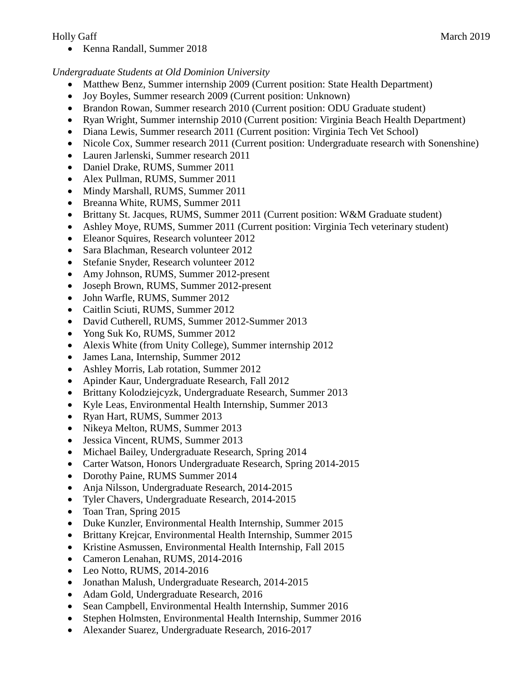• Kenna Randall, Summer 2018

### *Undergraduate Students at Old Dominion University*

- Matthew Benz, Summer internship 2009 (Current position: State Health Department)
- Joy Boyles, Summer research 2009 (Current position: Unknown)
- Brandon Rowan, Summer research 2010 (Current position: ODU Graduate student)
- Ryan Wright, Summer internship 2010 (Current position: Virginia Beach Health Department)
- Diana Lewis, Summer research 2011 (Current position: Virginia Tech Vet School)
- Nicole Cox, Summer research 2011 (Current position: Undergraduate research with Sonenshine)
- Lauren Jarlenski, Summer research 2011
- Daniel Drake, RUMS, Summer 2011
- Alex Pullman, RUMS, Summer 2011
- Mindy Marshall, RUMS, Summer 2011
- Breanna White, RUMS, Summer 2011
- Brittany St. Jacques, RUMS, Summer 2011 (Current position: W&M Graduate student)
- Ashley Moye, RUMS, Summer 2011 (Current position: Virginia Tech veterinary student)
- Eleanor Squires, Research volunteer 2012
- Sara Blachman, Research volunteer 2012
- Stefanie Snyder, Research volunteer 2012
- Amy Johnson, RUMS, Summer 2012-present
- Joseph Brown, RUMS, Summer 2012-present
- John Warfle, RUMS, Summer 2012
- Caitlin Sciuti, RUMS, Summer 2012
- David Cutherell, RUMS, Summer 2012-Summer 2013
- Yong Suk Ko, RUMS, Summer 2012
- Alexis White (from Unity College), Summer internship 2012
- James Lana, Internship, Summer 2012
- Ashley Morris, Lab rotation, Summer 2012
- Apinder Kaur, Undergraduate Research, Fall 2012
- Brittany Kolodziejcyzk, Undergraduate Research, Summer 2013
- Kyle Leas, Environmental Health Internship, Summer 2013
- Ryan Hart, RUMS, Summer 2013
- Nikeya Melton, RUMS, Summer 2013
- Jessica Vincent, RUMS, Summer 2013
- Michael Bailey, Undergraduate Research, Spring 2014
- Carter Watson, Honors Undergraduate Research, Spring 2014-2015
- Dorothy Paine, RUMS Summer 2014
- Anja Nilsson, Undergraduate Research, 2014-2015
- Tyler Chavers, Undergraduate Research, 2014-2015
- Toan Tran, Spring 2015
- Duke Kunzler, Environmental Health Internship, Summer 2015
- Brittany Krejcar, Environmental Health Internship, Summer 2015
- Kristine Asmussen, Environmental Health Internship, Fall 2015
- Cameron Lenahan, RUMS, 2014-2016
- Leo Notto, RUMS, 2014-2016
- Jonathan Malush, Undergraduate Research, 2014-2015
- Adam Gold, Undergraduate Research, 2016
- Sean Campbell, Environmental Health Internship, Summer 2016
- Stephen Holmsten, Environmental Health Internship, Summer 2016
- Alexander Suarez, Undergraduate Research, 2016-2017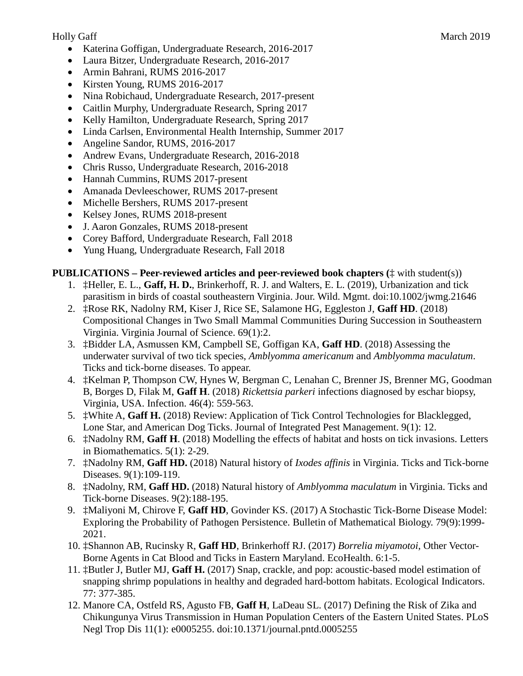- Katerina Goffigan, Undergraduate Research, 2016-2017
- Laura Bitzer, Undergraduate Research, 2016-2017
- Armin Bahrani, RUMS 2016-2017
- Kirsten Young, RUMS 2016-2017
- Nina Robichaud, Undergraduate Research, 2017-present
- Caitlin Murphy, Undergraduate Research, Spring 2017
- Kelly Hamilton, Undergraduate Research, Spring 2017
- Linda Carlsen, Environmental Health Internship, Summer 2017
- Angeline Sandor, RUMS, 2016-2017
- Andrew Evans, Undergraduate Research, 2016-2018
- Chris Russo, Undergraduate Research, 2016-2018
- Hannah Cummins, RUMS 2017-present
- Amanada Devleeschower, RUMS 2017-present
- Michelle Bershers, RUMS 2017-present
- Kelsey Jones, RUMS 2018-present
- J. Aaron Gonzales, RUMS 2018-present
- Corey Bafford, Undergraduate Research, Fall 2018
- Yung Huang, Undergraduate Research, Fall 2018

#### **PUBLICATIONS – Peer-reviewed articles and peer-reviewed book chapters (**‡ with student(s))

- 1. ‡Heller, E. L., **Gaff, H. D.**, Brinkerhoff, R. J. and Walters, E. L. (2019), Urbanization and tick parasitism in birds of coastal southeastern Virginia. Jour. Wild. Mgmt. doi:10.1002/jwmg.21646
- 2. ‡Rose RK, Nadolny RM, Kiser J, Rice SE, Salamone HG, Eggleston J, **Gaff HD**. (2018) Compositional Changes in Two Small Mammal Communities During Succession in Southeastern Virginia. Virginia Journal of Science. 69(1):2.
- 3. ‡Bidder LA, Asmussen KM, Campbell SE, Goffigan KA, **Gaff HD**. (2018) Assessing the underwater survival of two tick species, *Amblyomma americanum* and *Amblyomma maculatum*. Ticks and tick-borne diseases. To appear.
- 4. ‡Kelman P, Thompson CW, Hynes W, Bergman C, Lenahan C, Brenner JS, Brenner MG, Goodman B, Borges D, Filak M, **Gaff H**. (2018) *Rickettsia parkeri* infections diagnosed by eschar biopsy, Virginia, USA. Infection. 46(4): 559-563.
- 5. ‡White A, **Gaff H.** (2018) Review: Application of Tick Control Technologies for Blacklegged, Lone Star, and American Dog Ticks. Journal of Integrated Pest Management. 9(1): 12.
- 6. ‡Nadolny RM, **Gaff H**. (2018) Modelling the effects of habitat and hosts on tick invasions. Letters in Biomathematics. 5(1): 2-29.
- 7. ‡Nadolny RM, **Gaff HD.** (2018) Natural history of *Ixodes affinis* in Virginia. Ticks and Tick-borne Diseases. 9(1):109-119.
- 8. ‡Nadolny, RM, **Gaff HD.** (2018) Natural history of *Amblyomma maculatum* in Virginia. Ticks and Tick-borne Diseases. 9(2):188-195.
- 9. ‡Maliyoni M, Chirove F, **Gaff HD**, Govinder KS. (2017) A Stochastic Tick-Borne Disease Model: Exploring the Probability of Pathogen Persistence. Bulletin of Mathematical Biology. 79(9):1999- 2021.
- 10. ‡Shannon AB, Rucinsky R, **Gaff HD**, Brinkerhoff RJ. (2017) *Borrelia miyamotoi*, Other Vector-Borne Agents in Cat Blood and Ticks in Eastern Maryland. EcoHealth. 6:1-5.
- 11. ‡Butler J, Butler MJ, **Gaff H.** (2017) Snap, crackle, and pop: acoustic-based model estimation of snapping shrimp populations in healthy and degraded hard-bottom habitats. Ecological Indicators. 77: 377-385.
- 12. Manore CA, Ostfeld RS, Agusto FB, **Gaff H**, LaDeau SL. (2017) Defining the Risk of Zika and Chikungunya Virus Transmission in Human Population Centers of the Eastern United States. PLoS Negl Trop Dis 11(1): e0005255. doi:10.1371/journal.pntd.0005255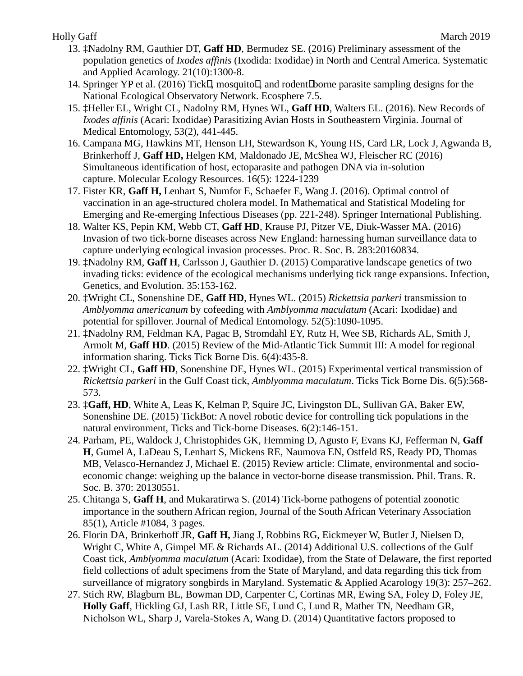- 13. ‡Nadolny RM, Gauthier DT, **Gaff HD**, Bermudez SE. (2016) Preliminary assessment of the population genetics of *Ixodes affinis* (Ixodida: Ixodidae) in North and Central America. Systematic and Applied Acarology. 21(10):1300-8.
- 14. Springer YP et al. (2016) Tick $□$  mosquito $□$  and rodent $□$ borne parasite sampling designs for the National Ecological Observatory Network. Ecosphere 7.5.
- 15. ‡Heller EL, Wright CL, Nadolny RM, Hynes WL, **Gaff HD**, Walters EL. (2016). New Records of *Ixodes affinis* (Acari: Ixodidae) Parasitizing Avian Hosts in Southeastern Virginia. Journal of Medical Entomology, 53(2), 441-445.
- 16. Campana MG, Hawkins MT, Henson LH, Stewardson K, Young HS, Card LR, Lock J, Agwanda B, Brinkerhoff J, **Gaff HD,** Helgen KM, Maldonado JE, McShea WJ, Fleischer RC (2016) Simultaneous identification of host, ectoparasite and pathogen DNA via in-solution capture. Molecular Ecology Resources. 16(5): 1224-1239
- 17. Fister KR, **Gaff H,** Lenhart S, Numfor E, Schaefer E, Wang J. (2016). Optimal control of vaccination in an age-structured cholera model. In Mathematical and Statistical Modeling for Emerging and Re-emerging Infectious Diseases (pp. 221-248). Springer International Publishing.
- 18. Walter KS, Pepin KM, Webb CT, **Gaff HD**, Krause PJ, Pitzer VE, Diuk-Wasser MA. (2016) Invasion of two tick-borne diseases across New England: harnessing human surveillance data to capture underlying ecological invasion processes. Proc. R. Soc. B. 283:20160834.
- 19. ‡Nadolny RM, **Gaff H**, Carlsson J, Gauthier D. (2015) Comparative landscape genetics of two invading ticks: evidence of the ecological mechanisms underlying tick range expansions. Infection, Genetics, and Evolution. 35:153-162.
- 20. ‡Wright CL, Sonenshine DE, **Gaff HD**, Hynes WL. (2015) *Rickettsia parkeri* transmission to *Amblyomma americanum* by cofeeding with *Amblyomma maculatum* (Acari: Ixodidae) and potential for spillover. Journal of Medical Entomology. 52(5):1090-1095.
- 21. ‡Nadolny RM, Feldman KA, Pagac B, Stromdahl EY, Rutz H, Wee SB, Richards AL, Smith J, Armolt M, **Gaff HD**. (2015) Review of the Mid-Atlantic Tick Summit III: A model for regional information sharing. Ticks Tick Borne Dis. 6(4):435-8.
- 22. ‡Wright CL, **Gaff HD**, Sonenshine DE, Hynes WL. (2015) Experimental vertical transmission of *Rickettsia parkeri* in the Gulf Coast tick, *Amblyomma maculatum*. Ticks Tick Borne Dis. 6(5):568- 573.
- 23. ‡**Gaff, HD**, White A, Leas K, Kelman P, Squire JC, Livingston DL, Sullivan GA, Baker EW, Sonenshine DE. (2015) TickBot: A novel robotic device for controlling tick populations in the natural environment, Ticks and Tick-borne Diseases. 6(2):146-151.
- 24. Parham, PE, Waldock J, Christophides GK, Hemming D, Agusto F, Evans KJ, Fefferman N, **Gaff H**, Gumel A, LaDeau S, Lenhart S, Mickens RE, Naumova EN, Ostfeld RS, Ready PD, Thomas MB, Velasco-Hernandez J, Michael E. (2015) Review article: Climate, environmental and socioeconomic change: weighing up the balance in vector-borne disease transmission. Phil. Trans. R. Soc. B. 370: 20130551.
- 25. Chitanga S, **Gaff H**, and Mukaratirwa S. (2014) Tick-borne pathogens of potential zoonotic importance in the southern African region, Journal of the South African Veterinary Association 85(1), Article #1084, 3 pages.
- 26. Florin DA, Brinkerhoff JR, **Gaff H,** Jiang J, Robbins RG, Eickmeyer W, Butler J, Nielsen D, Wright C, White A, Gimpel ME & Richards AL. (2014) Additional U.S. collections of the Gulf Coast tick, *Amblyomma maculatum* (Acari: Ixodidae), from the State of Delaware, the first reported field collections of adult specimens from the State of Maryland, and data regarding this tick from surveillance of migratory songbirds in Maryland. Systematic & Applied Acarology 19(3): 257–262.
- 27. Stich RW, Blagburn BL, Bowman DD, Carpenter C, Cortinas MR, Ewing SA, Foley D, Foley JE, **Holly Gaff**, Hickling GJ, Lash RR, Little SE, Lund C, Lund R, Mather TN, Needham GR, Nicholson WL, Sharp J, Varela-Stokes A, Wang D. (2014) Quantitative factors proposed to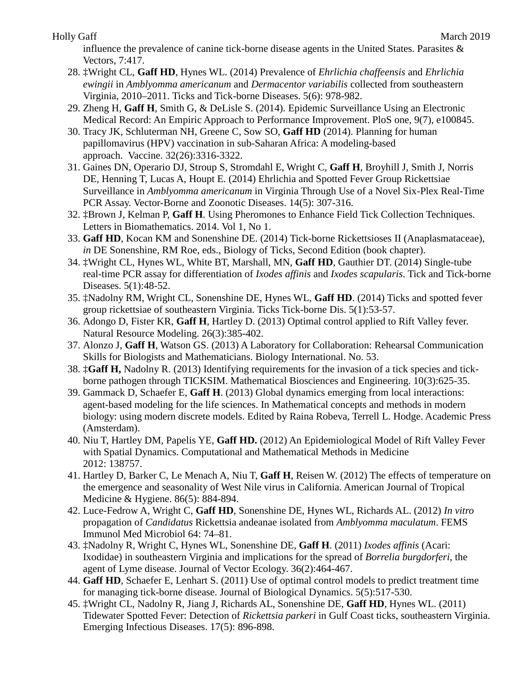influence the prevalence of canine tick-borne disease agents in the United States. Parasites & Vectors, 7:417.

- 28. ‡Wright CL, **Gaff HD**, Hynes WL. (2014) Prevalence of *Ehrlichia chaffeensis* and *Ehrlichia ewingii* in *Amblyomma americanum* and *Dermacentor variabilis* collected from southeastern Virginia, 2010–2011. Ticks and Tick-borne Diseases. 5(6): 978-982.
- 29. Zheng H, **Gaff H**, Smith G, & DeLisle S. (2014). Epidemic Surveillance Using an Electronic Medical Record: An Empiric Approach to Performance Improvement. PloS one, 9(7), e100845.
- 30. Tracy JK, Schluterman NH, Greene C, Sow SO, **Gaff HD** (2014). Planning for human papillomavirus (HPV) vaccination in sub-Saharan Africa: A modeling-based approach. Vaccine. 32(26):3316-3322.
- 31. Gaines DN, Operario DJ, Stroup S, Stromdahl E, Wright C, **Gaff H**, Broyhill J, Smith J, Norris DE, Henning T, Lucas A, Houpt E. (2014) Ehrlichia and Spotted Fever Group Rickettsiae Surveillance in *Amblyomma americanum* in Virginia Through Use of a Novel Six-Plex Real-Time PCR Assay. Vector-Borne and Zoonotic Diseases. 14(5): 307-316.
- 32. ‡Brown J, Kelman P, **Gaff H**. Using Pheromones to Enhance Field Tick Collection Techniques. Letters in Biomathematics. 2014. Vol 1, No 1.
- 33. **Gaff HD**, Kocan KM and Sonenshine DE. (2014) Tick-borne Rickettsioses II (Anaplasmataceae), *in* DE Sonenshine, RM Roe, eds., Biology of Ticks, Second Edition (book chapter).
- 34. ‡Wright CL, Hynes WL, White BT, Marshall, MN, **Gaff HD**, Gauthier DT. (2014) Single-tube real-time PCR assay for differentiation of *Ixodes affinis* and *Ixodes scapularis*. Tick and Tick-borne Diseases. 5(1):48-52.
- 35. ‡Nadolny RM, Wright CL, Sonenshine DE, Hynes WL, **Gaff HD**. (2014) Ticks and spotted fever group rickettsiae of southeastern Virginia. Ticks Tick-borne Dis. 5(1):53-57.
- 36. Adongo D, Fister KR, **Gaff H**, Hartley D. (2013) Optimal control applied to Rift Valley fever. Natural Resource Modeling. 26(3):385-402.
- 37. Alonzo J, **Gaff H**, Watson GS. (2013) A Laboratory for Collaboration: Rehearsal Communication Skills for Biologists and Mathematicians. Biology International. No. 53.
- 38. ‡**Gaff H,** Nadolny R. (2013) Identifying requirements for the invasion of a tick species and tickborne pathogen through TICKSIM. Mathematical Biosciences and Engineering. 10(3):625-35.
- 39. Gammack D, Schaefer E, **Gaff H**. (2013) Global dynamics emerging from local interactions: agent-based modeling for the life sciences. In Mathematical concepts and methods in modern biology: using modern discrete models. Edited by Raina Robeva, Terrell L. Hodge. Academic Press (Amsterdam).
- 40. Niu T, Hartley DM, Papelis YE, **Gaff HD.** (2012) An Epidemiological Model of Rift Valley Fever with Spatial Dynamics. Computational and Mathematical Methods in Medicine 2012: 138757.
- 41. Hartley D, Barker C, Le Menach A, Niu T, **Gaff H**, Reisen W. (2012) The effects of temperature on the emergence and seasonality of West Nile virus in California. American Journal of Tropical Medicine & Hygiene. 86(5): 884-894.
- 42. Luce-Fedrow A, Wright C, **Gaff HD**, Sonenshine DE, Hynes WL, Richards AL. (2012) *In vitro* propagation of *Candidatus* Rickettsia andeanae isolated from *Amblyomma maculatum*. FEMS Immunol Med Microbiol 64: 74–81.
- 43. ‡Nadolny R, Wright C, Hynes WL, Sonenshine DE, **Gaff H**. (2011) *Ixodes affinis* (Acari: Ixodidae) in southeastern Virginia and implications for the spread of *Borrelia burgdorferi*, the agent of Lyme disease. Journal of Vector Ecology. 36(2):464-467.
- 44. **Gaff HD**, Schaefer E, Lenhart S. (2011) Use of optimal control models to predict treatment time for managing tick-borne disease. Journal of Biological Dynamics. 5(5):517-530.
- 45. ‡Wright CL, Nadolny R, Jiang J, Richards AL, Sonenshine DE, **Gaff HD**, Hynes WL. (2011) Tidewater Spotted Fever: Detection of *Rickettsia parkeri* in Gulf Coast ticks, southeastern Virginia. Emerging Infectious Diseases. 17(5): 896-898.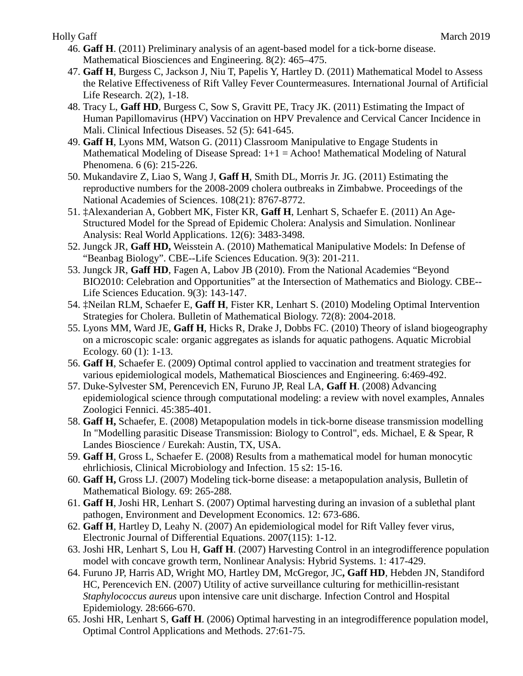- 46. **Gaff H**. (2011) Preliminary analysis of an agent-based model for a tick-borne disease. Mathematical Biosciences and Engineering. 8(2): 465–475.
- 47. **Gaff H**, Burgess C, Jackson J, Niu T, Papelis Y, Hartley D. (2011) Mathematical Model to Assess the Relative Effectiveness of Rift Valley Fever Countermeasures. International Journal of Artificial Life Research. 2(2), 1-18.
- 48. Tracy L, **Gaff HD**, Burgess C, Sow S, Gravitt PE, Tracy JK. (2011) Estimating the Impact of Human Papillomavirus (HPV) Vaccination on HPV Prevalence and Cervical Cancer Incidence in Mali. Clinical Infectious Diseases. 52 (5): 641-645.
- 49. **Gaff H**, Lyons MM, Watson G. (2011) Classroom Manipulative to Engage Students in Mathematical Modeling of Disease Spread:  $1+1 =$  Achoo! Mathematical Modeling of Natural Phenomena. 6 (6): 215-226.
- 50. Mukandavire Z, Liao S, Wang J, **Gaff H**, Smith DL, Morris Jr. JG. (2011) Estimating the reproductive numbers for the 2008-2009 cholera outbreaks in Zimbabwe. Proceedings of the National Academies of Sciences. 108(21): 8767-8772.
- 51. ‡Alexanderian A, Gobbert MK, Fister KR, **Gaff H**, Lenhart S, Schaefer E. (2011) An Age-Structured Model for the Spread of Epidemic Cholera: Analysis and Simulation. Nonlinear Analysis: Real World Applications. 12(6): 3483-3498.
- 52. Jungck JR, **Gaff HD,** Weisstein A. (2010) Mathematical Manipulative Models: In Defense of "Beanbag Biology". CBE--Life Sciences Education. 9(3): 201-211.
- 53. Jungck JR, **Gaff HD**, Fagen A, Labov JB (2010). From the National Academies "Beyond BIO2010: Celebration and Opportunities" at the Intersection of Mathematics and Biology. CBE-- Life Sciences Education. 9(3): 143-147.
- 54. ‡Neilan RLM, Schaefer E, **Gaff H**, Fister KR, Lenhart S. (2010) Modeling Optimal Intervention Strategies for Cholera. Bulletin of Mathematical Biology. 72(8): 2004-2018.
- 55. Lyons MM, Ward JE, **Gaff H**, Hicks R, Drake J, Dobbs FC. (2010) Theory of island biogeography on a microscopic scale: organic aggregates as islands for aquatic pathogens. Aquatic Microbial Ecology. 60 (1): 1-13.
- 56. **Gaff H**, Schaefer E. (2009) Optimal control applied to vaccination and treatment strategies for various epidemiological models, Mathematical Biosciences and Engineering. 6:469-492.
- 57. Duke-Sylvester SM, Perencevich EN, Furuno JP, Real LA, **Gaff H**. (2008) Advancing epidemiological science through computational modeling: a review with novel examples, Annales Zoologici Fennici. 45:385-401.
- 58. **Gaff H,** Schaefer, E. (2008) Metapopulation models in tick-borne disease transmission modelling In "Modelling parasitic Disease Transmission: Biology to Control", eds. Michael, E & Spear, R Landes Bioscience / Eurekah: Austin, TX, USA.
- 59. **Gaff H**, Gross L, Schaefer E. (2008) Results from a mathematical model for human monocytic ehrlichiosis, Clinical Microbiology and Infection. 15 s2: 15-16.
- 60. **Gaff H,** Gross LJ. (2007) Modeling tick-borne disease: a metapopulation analysis, Bulletin of Mathematical Biology. 69: 265-288.
- 61. **Gaff H**, Joshi HR, Lenhart S. (2007) Optimal harvesting during an invasion of a sublethal plant pathogen, Environment and Development Economics. 12: 673-686.
- 62. **Gaff H**, Hartley D, Leahy N. (2007) An epidemiological model for Rift Valley fever virus, Electronic Journal of Differential Equations. 2007(115): 1-12.
- 63. Joshi HR, Lenhart S, Lou H, **Gaff H**. (2007) Harvesting Control in an integrodifference population model with concave growth term, Nonlinear Analysis: Hybrid Systems. 1: 417-429.
- 64. Furuno JP, Harris AD, Wright MO, Hartley DM, McGregor, JC**, Gaff HD**, Hebden JN, Standiford HC, Perencevich EN. (2007) Utility of active surveillance culturing for methicillin-resistant *Staphylococcus aureus* upon intensive care unit discharge. Infection Control and Hospital Epidemiology. 28:666-670.
- 65. Joshi HR, Lenhart S, **Gaff H**. (2006) Optimal harvesting in an integrodifference population model, Optimal Control Applications and Methods. 27:61-75.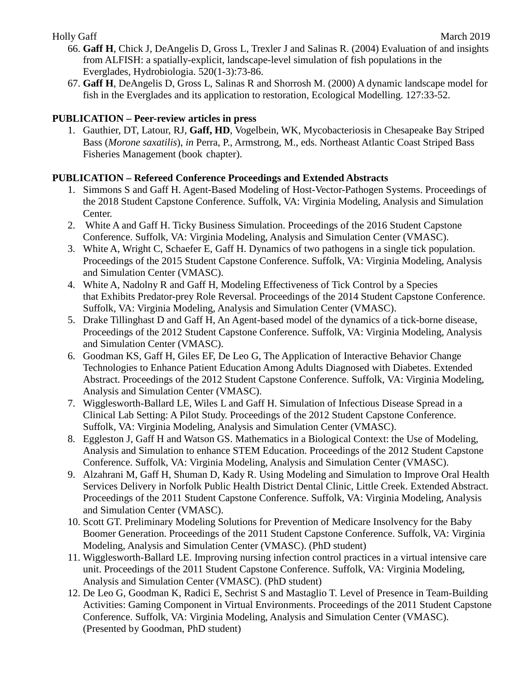- 66. **Gaff H**, Chick J, DeAngelis D, Gross L, Trexler J and Salinas R. (2004) Evaluation of and insights from ALFISH: a spatially-explicit, landscape-level simulation of fish populations in the Everglades, Hydrobiologia. 520(1-3):73-86.
- 67. **Gaff H**, DeAngelis D, Gross L, Salinas R and Shorrosh M. (2000) A dynamic landscape model for fish in the Everglades and its application to restoration, Ecological Modelling. 127:33-52.

# **PUBLICATION – Peer-review articles in press**

1. Gauthier, DT, Latour, RJ, **Gaff, HD**, Vogelbein, WK, Mycobacteriosis in Chesapeake Bay Striped Bass (*Morone saxatilis*), *in* Perra, P., Armstrong, M., eds. Northeast Atlantic Coast Striped Bass Fisheries Management (book chapter).

# **PUBLICATION – Refereed Conference Proceedings and Extended Abstracts**

- 1. Simmons S and Gaff H. Agent-Based Modeling of Host-Vector-Pathogen Systems. Proceedings of the 2018 Student Capstone Conference. Suffolk, VA: Virginia Modeling, Analysis and Simulation Center.
- 2. White A and Gaff H. Ticky Business Simulation. Proceedings of the 2016 Student Capstone Conference. Suffolk, VA: Virginia Modeling, Analysis and Simulation Center (VMASC).
- 3. White A, Wright C, Schaefer E, Gaff H. Dynamics of two pathogens in a single tick population. Proceedings of the 2015 Student Capstone Conference. Suffolk, VA: Virginia Modeling, Analysis and Simulation Center (VMASC).
- 4. White A, Nadolny R and Gaff H, Modeling Effectiveness of Tick Control by a Species that Exhibits Predator-prey Role Reversal. Proceedings of the 2014 Student Capstone Conference. Suffolk, VA: Virginia Modeling, Analysis and Simulation Center (VMASC).
- 5. Drake Tillinghast D and Gaff H, An Agent-based model of the dynamics of a tick-borne disease, Proceedings of the 2012 Student Capstone Conference. Suffolk, VA: Virginia Modeling, Analysis and Simulation Center (VMASC).
- 6. Goodman KS, Gaff H, Giles EF, De Leo G, The Application of Interactive Behavior Change Technologies to Enhance Patient Education Among Adults Diagnosed with Diabetes. Extended Abstract. Proceedings of the 2012 Student Capstone Conference. Suffolk, VA: Virginia Modeling, Analysis and Simulation Center (VMASC).
- 7. Wigglesworth-Ballard LE, Wiles L and Gaff H. Simulation of Infectious Disease Spread in a Clinical Lab Setting: A Pilot Study. Proceedings of the 2012 Student Capstone Conference. Suffolk, VA: Virginia Modeling, Analysis and Simulation Center (VMASC).
- 8. Eggleston J, Gaff H and Watson GS. Mathematics in a Biological Context: the Use of Modeling, Analysis and Simulation to enhance STEM Education. Proceedings of the 2012 Student Capstone Conference. Suffolk, VA: Virginia Modeling, Analysis and Simulation Center (VMASC).
- 9. Alzahrani M, Gaff H, Shuman D, Kady R. Using Modeling and Simulation to Improve Oral Health Services Delivery in Norfolk Public Health District Dental Clinic, Little Creek. Extended Abstract. Proceedings of the 2011 Student Capstone Conference. Suffolk, VA: Virginia Modeling, Analysis and Simulation Center (VMASC).
- 10. Scott GT. Preliminary Modeling Solutions for Prevention of Medicare Insolvency for the Baby Boomer Generation. Proceedings of the 2011 Student Capstone Conference. Suffolk, VA: Virginia Modeling, Analysis and Simulation Center (VMASC). (PhD student)
- 11. Wigglesworth-Ballard LE. Improving nursing infection control practices in a virtual intensive care unit. Proceedings of the 2011 Student Capstone Conference. Suffolk, VA: Virginia Modeling, Analysis and Simulation Center (VMASC). (PhD student)
- 12. De Leo G, Goodman K, Radici E, Sechrist S and Mastaglio T. Level of Presence in Team-Building Activities: Gaming Component in Virtual Environments. Proceedings of the 2011 Student Capstone Conference. Suffolk, VA: Virginia Modeling, Analysis and Simulation Center (VMASC). (Presented by Goodman, PhD student)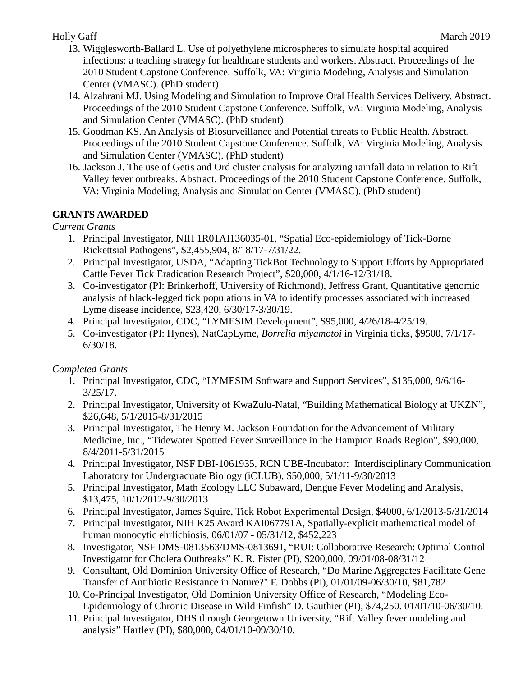- 13. Wigglesworth-Ballard L. Use of polyethylene microspheres to simulate hospital acquired infections: a teaching strategy for healthcare students and workers. Abstract. Proceedings of the 2010 Student Capstone Conference. Suffolk, VA: Virginia Modeling, Analysis and Simulation Center (VMASC). (PhD student)
- 14. Alzahrani MJ. Using Modeling and Simulation to Improve Oral Health Services Delivery. Abstract. Proceedings of the 2010 Student Capstone Conference. Suffolk, VA: Virginia Modeling, Analysis and Simulation Center (VMASC). (PhD student)
- 15. Goodman KS. An Analysis of Biosurveillance and Potential threats to Public Health. Abstract. Proceedings of the 2010 Student Capstone Conference. Suffolk, VA: Virginia Modeling, Analysis and Simulation Center (VMASC). (PhD student)
- 16. Jackson J. The use of Getis and Ord cluster analysis for analyzing rainfall data in relation to Rift Valley fever outbreaks. Abstract. Proceedings of the 2010 Student Capstone Conference. Suffolk, VA: Virginia Modeling, Analysis and Simulation Center (VMASC). (PhD student)

# **GRANTS AWARDED**

## *Current Grants*

- 1. Principal Investigator, NIH 1R01AI136035-01, "Spatial Eco-epidemiology of Tick-Borne Rickettsial Pathogens", \$2,455,904, 8/18/17-7/31/22.
- 2. Principal Investigator, USDA, "Adapting TickBot Technology to Support Efforts by Appropriated Cattle Fever Tick Eradication Research Project", \$20,000, 4/1/16-12/31/18.
- 3. Co-investigator (PI: Brinkerhoff, University of Richmond), Jeffress Grant, Quantitative genomic analysis of black-legged tick populations in VA to identify processes associated with increased Lyme disease incidence, \$23,420, 6/30/17-3/30/19.
- 4. Principal Investigator, CDC, "LYMESIM Development", \$95,000, 4/26/18-4/25/19.
- 5. Co-investigator (PI: Hynes), NatCapLyme, *Borrelia miyamotoi* in Virginia ticks, \$9500, 7/1/17- 6/30/18.

# *Completed Grants*

- 1. Principal Investigator, CDC, "LYMESIM Software and Support Services", \$135,000, 9/6/16- 3/25/17.
- 2. Principal Investigator, University of KwaZulu-Natal, "Building Mathematical Biology at UKZN", \$26,648, 5/1/2015-8/31/2015
- 3. Principal Investigator, The Henry M. Jackson Foundation for the Advancement of Military Medicine, Inc., "Tidewater Spotted Fever Surveillance in the Hampton Roads Region", \$90,000, 8/4/2011-5/31/2015
- 4. Principal Investigator, NSF DBI-1061935, RCN UBE-Incubator: Interdisciplinary Communication Laboratory for Undergraduate Biology (iCLUB), \$50,000, 5/1/11-9/30/2013
- 5. Principal Investigator, Math Ecology LLC Subaward, Dengue Fever Modeling and Analysis, \$13,475, 10/1/2012-9/30/2013
- 6. Principal Investigator, James Squire, Tick Robot Experimental Design, \$4000, 6/1/2013-5/31/2014
- 7. Principal Investigator, NIH K25 Award KAI067791A, Spatially-explicit mathematical model of human monocytic ehrlichiosis, 06/01/07 - 05/31/12, \$452,223
- 8. Investigator, NSF DMS-0813563/DMS-0813691, "RUI: Collaborative Research: Optimal Control Investigator for Cholera Outbreaks" K. R. Fister (PI), \$200,000, 09/01/08-08/31/12
- 9. Consultant, Old Dominion University Office of Research, "Do Marine Aggregates Facilitate Gene Transfer of Antibiotic Resistance in Nature?" F. Dobbs (PI), 01/01/09-06/30/10, \$81,782
- 10. Co-Principal Investigator, Old Dominion University Office of Research, "Modeling Eco-Epidemiology of Chronic Disease in Wild Finfish" D. Gauthier (PI), \$74,250. 01/01/10-06/30/10.
- 11. Principal Investigator, DHS through Georgetown University, "Rift Valley fever modeling and analysis" Hartley (PI), \$80,000, 04/01/10-09/30/10.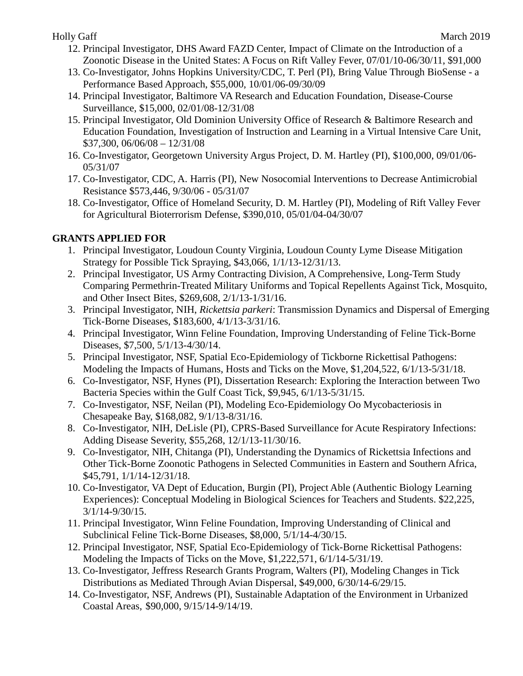- 12. Principal Investigator, DHS Award FAZD Center, Impact of Climate on the Introduction of a Zoonotic Disease in the United States: A Focus on Rift Valley Fever, 07/01/10-06/30/11, \$91,000
- 13. Co-Investigator, Johns Hopkins University/CDC, T. Perl (PI), Bring Value Through BioSense a Performance Based Approach, \$55,000, 10/01/06-09/30/09
- 14. Principal Investigator, Baltimore VA Research and Education Foundation, Disease-Course Surveillance, \$15,000, 02/01/08-12/31/08
- 15. Principal Investigator, Old Dominion University Office of Research & Baltimore Research and Education Foundation, Investigation of Instruction and Learning in a Virtual Intensive Care Unit, \$37,300, 06/06/08 – 12/31/08
- 16. Co-Investigator, Georgetown University Argus Project, D. M. Hartley (PI), \$100,000, 09/01/06- 05/31/07
- 17. Co-Investigator, CDC, A. Harris (PI), New Nosocomial Interventions to Decrease Antimicrobial Resistance \$573,446, 9/30/06 - 05/31/07
- 18. Co-Investigator, Office of Homeland Security, D. M. Hartley (PI), Modeling of Rift Valley Fever for Agricultural Bioterrorism Defense, \$390,010, 05/01/04-04/30/07

# **GRANTS APPLIED FOR**

- 1. Principal Investigator, Loudoun County Virginia, Loudoun County Lyme Disease Mitigation Strategy for Possible Tick Spraying, \$43,066, 1/1/13-12/31/13.
- 2. Principal Investigator, US Army Contracting Division, A Comprehensive, Long-Term Study Comparing Permethrin-Treated Military Uniforms and Topical Repellents Against Tick, Mosquito, and Other Insect Bites, \$269,608, 2/1/13-1/31/16.
- 3. Principal Investigator, NIH, *Rickettsia parkeri*: Transmission Dynamics and Dispersal of Emerging Tick-Borne Diseases, \$183,600, 4/1/13-3/31/16.
- 4. Principal Investigator, Winn Feline Foundation, Improving Understanding of Feline Tick-Borne Diseases, \$7,500, 5/1/13-4/30/14.
- 5. Principal Investigator, NSF, Spatial Eco-Epidemiology of Tickborne Rickettisal Pathogens: Modeling the Impacts of Humans, Hosts and Ticks on the Move, \$1,204,522, 6/1/13-5/31/18.
- 6. Co-Investigator, NSF, Hynes (PI), Dissertation Research: Exploring the Interaction between Two Bacteria Species within the Gulf Coast Tick, \$9,945, 6/1/13-5/31/15.
- 7. Co-Investigator, NSF, Neilan (PI), Modeling Eco-Epidemiology Oo Mycobacteriosis in Chesapeake Bay, \$168,082, 9/1/13-8/31/16.
- 8. Co-Investigator, NIH, DeLisle (PI), CPRS-Based Surveillance for Acute Respiratory Infections: Adding Disease Severity, \$55,268, 12/1/13-11/30/16.
- 9. Co-Investigator, NIH, Chitanga (PI), Understanding the Dynamics of Rickettsia Infections and Other Tick-Borne Zoonotic Pathogens in Selected Communities in Eastern and Southern Africa, \$45,791, 1/1/14-12/31/18.
- 10. Co-Investigator, VA Dept of Education, Burgin (PI), Project Able (Authentic Biology Learning Experiences): Conceptual Modeling in Biological Sciences for Teachers and Students. \$22,225, 3/1/14-9/30/15.
- 11. Principal Investigator, Winn Feline Foundation, Improving Understanding of Clinical and Subclinical Feline Tick-Borne Diseases, \$8,000, 5/1/14-4/30/15.
- 12. Principal Investigator, NSF, Spatial Eco-Epidemiology of Tick-Borne Rickettisal Pathogens: Modeling the Impacts of Ticks on the Move, \$1,222,571, 6/1/14-5/31/19.
- 13. Co-Investigator, Jeffress Research Grants Program, Walters (PI), Modeling Changes in Tick Distributions as Mediated Through Avian Dispersal, \$49,000, 6/30/14-6/29/15.
- 14. Co-Investigator, NSF, Andrews (PI), Sustainable Adaptation of the Environment in Urbanized Coastal Areas, \$90,000, 9/15/14-9/14/19.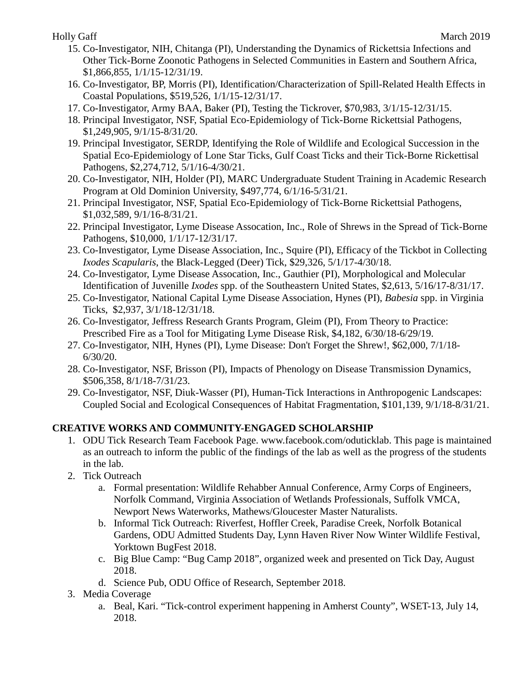- 15. Co-Investigator, NIH, Chitanga (PI), Understanding the Dynamics of Rickettsia Infections and Other Tick-Borne Zoonotic Pathogens in Selected Communities in Eastern and Southern Africa, \$1,866,855, 1/1/15-12/31/19.
- 16. Co-Investigator, BP, Morris (PI), Identification/Characterization of Spill-Related Health Effects in Coastal Populations, \$519,526, 1/1/15-12/31/17.
- 17. Co-Investigator, Army BAA, Baker (PI), Testing the Tickrover, \$70,983, 3/1/15-12/31/15.
- 18. Principal Investigator, NSF, Spatial Eco-Epidemiology of Tick-Borne Rickettsial Pathogens, \$1,249,905, 9/1/15-8/31/20.
- 19. Principal Investigator, SERDP, Identifying the Role of Wildlife and Ecological Succession in the Spatial Eco-Epidemiology of Lone Star Ticks, Gulf Coast Ticks and their Tick-Borne Rickettisal Pathogens, \$2,274,712, 5/1/16-4/30/21.
- 20. Co-Investigator, NIH, Holder (PI), MARC Undergraduate Student Training in Academic Research Program at Old Dominion University, \$497,774, 6/1/16-5/31/21.
- 21. Principal Investigator, NSF, Spatial Eco-Epidemiology of Tick-Borne Rickettsial Pathogens, \$1,032,589, 9/1/16-8/31/21.
- 22. Principal Investigator, Lyme Disease Assocation, Inc., Role of Shrews in the Spread of Tick-Borne Pathogens, \$10,000, 1/1/17-12/31/17.
- 23. Co-Investigator, Lyme Disease Association, Inc., Squire (PI), Efficacy of the Tickbot in Collecting *Ixodes Scapularis*, the Black-Legged (Deer) Tick, \$29,326, 5/1/17-4/30/18.
- 24. Co-Investigator, Lyme Disease Assocation, Inc., Gauthier (PI), Morphological and Molecular Identification of Juvenille *Ixodes* spp. of the Southeastern United States, \$2,613, 5/16/17-8/31/17.
- 25. Co-Investigator, National Capital Lyme Disease Association, Hynes (PI), *Babesia* spp. in Virginia Ticks, \$2,937, 3/1/18-12/31/18.
- 26. Co-Investigator, Jeffress Research Grants Program, Gleim (PI), From Theory to Practice: Prescribed Fire as a Tool for Mitigating Lyme Disease Risk, \$4,182, 6/30/18-6/29/19.
- 27. Co-Investigator, NIH, Hynes (PI), Lyme Disease: Don't Forget the Shrew!, \$62,000, 7/1/18- 6/30/20.
- 28. Co-Investigator, NSF, Brisson (PI), Impacts of Phenology on Disease Transmission Dynamics, \$506,358, 8/1/18-7/31/23.
- 29. Co-Investigator, NSF, Diuk-Wasser (PI), Human-Tick Interactions in Anthropogenic Landscapes: Coupled Social and Ecological Consequences of Habitat Fragmentation, \$101,139, 9/1/18-8/31/21.

# **CREATIVE WORKS AND COMMUNITY-ENGAGED SCHOLARSHIP**

- 1. ODU Tick Research Team Facebook Page. www.facebook.com/oduticklab. This page is maintained as an outreach to inform the public of the findings of the lab as well as the progress of the students in the lab.
- 2. Tick Outreach
	- a. Formal presentation: Wildlife Rehabber Annual Conference, Army Corps of Engineers, Norfolk Command, Virginia Association of Wetlands Professionals, Suffolk VMCA, Newport News Waterworks, Mathews/Gloucester Master Naturalists.
	- b. Informal Tick Outreach: Riverfest, Hoffler Creek, Paradise Creek, Norfolk Botanical Gardens, ODU Admitted Students Day, Lynn Haven River Now Winter Wildlife Festival, Yorktown BugFest 2018.
	- c. Big Blue Camp: "Bug Camp 2018", organized week and presented on Tick Day, August 2018.
	- d. Science Pub, ODU Office of Research, September 2018.
- 3. Media Coverage
	- a. Beal, Kari. "Tick-control experiment happening in Amherst County", WSET-13, July 14, 2018.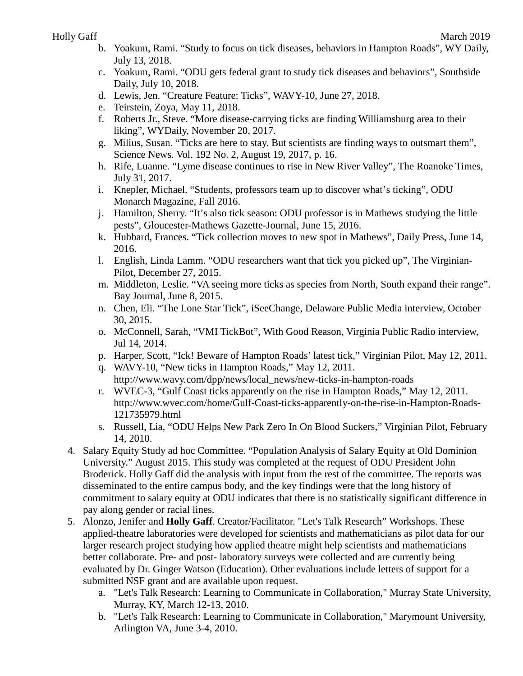- b. Yoakum, Rami. "Study to focus on tick diseases, behaviors in Hampton Roads", WY Daily, July 13, 2018.
- c. Yoakum, Rami. "ODU gets federal grant to study tick diseases and behaviors", Southside Daily, July 10, 2018.
- d. Lewis, Jen. "Creature Feature: Ticks", WAVY-10, June 27, 2018.
- e. Teirstein, Zoya, May 11, 2018.
- f. Roberts Jr., Steve. "More disease-carrying ticks are finding Williamsburg area to their liking", WYDaily, November 20, 2017.
- g. Milius, Susan. "Ticks are here to stay. But scientists are finding ways to outsmart them", Science News. Vol. 192 No. 2, August 19, 2017, p. 16.
- h. Rife, Luanne. "Lyme disease continues to rise in New River Valley", The Roanoke Times, July 31, 2017.
- i. Knepler, Michael. "Students, professors team up to discover what's ticking", ODU Monarch Magazine, Fall 2016.
- j. Hamilton, Sherry. "It's also tick season: ODU professor is in Mathews studying the little pests", Gloucester-Mathews Gazette-Journal, June 15, 2016.
- k. Hubbard, Frances. "Tick collection moves to new spot in Mathews", Daily Press, June 14, 2016.
- l. English, Linda Lamm. "ODU researchers want that tick you picked up", The Virginian-Pilot, December 27, 2015.
- m. Middleton, Leslie. "VA seeing more ticks as species from North, South expand their range". Bay Journal, June 8, 2015.
- n. Chen, Eli. "The Lone Star Tick", iSeeChange, Delaware Public Media interview, October 30, 2015.
- o. McConnell, Sarah, "VMI TickBot", With Good Reason, Virginia Public Radio interview, Jul 14, 2014.
- p. Harper, Scott, "Ick! Beware of Hampton Roads' latest tick," Virginian Pilot, May 12, 2011.
- q. WAVY-10, "New ticks in Hampton Roads," May 12, 2011. http://www.wavy.com/dpp/news/local\_news/new-ticks-in-hampton-roads
- r. WVEC-3, "Gulf Coast ticks apparently on the rise in Hampton Roads," May 12, 2011. http://www.wvec.com/home/Gulf-Coast-ticks-apparently-on-the-rise-in-Hampton-Roads-121735979.html
- s. Russell, Lia, "ODU Helps New Park Zero In On Blood Suckers," Virginian Pilot, February 14, 2010.
- 4. Salary Equity Study ad hoc Committee. "Population Analysis of Salary Equity at Old Dominion University." August 2015. This study was completed at the request of ODU President John Broderick. Holly Gaff did the analysis with input from the rest of the committee. The reports was disseminated to the entire campus body, and the key findings were that the long history of commitment to salary equity at ODU indicates that there is no statistically significant difference in pay along gender or racial lines.
- 5. Alonzo, Jenifer and **Holly Gaff**. Creator/Facilitator. "Let's Talk Research" Workshops. These applied-theatre laboratories were developed for scientists and mathematicians as pilot data for our larger research project studying how applied theatre might help scientists and mathematicians better collaborate. Pre- and post- laboratory surveys were collected and are currently being evaluated by Dr. Ginger Watson (Education). Other evaluations include letters of support for a submitted NSF grant and are available upon request.
	- a. "Let's Talk Research: Learning to Communicate in Collaboration," Murray State University, Murray, KY, March 12-13, 2010.
	- b. "Let's Talk Research: Learning to Communicate in Collaboration," Marymount University, Arlington VA, June 3-4, 2010.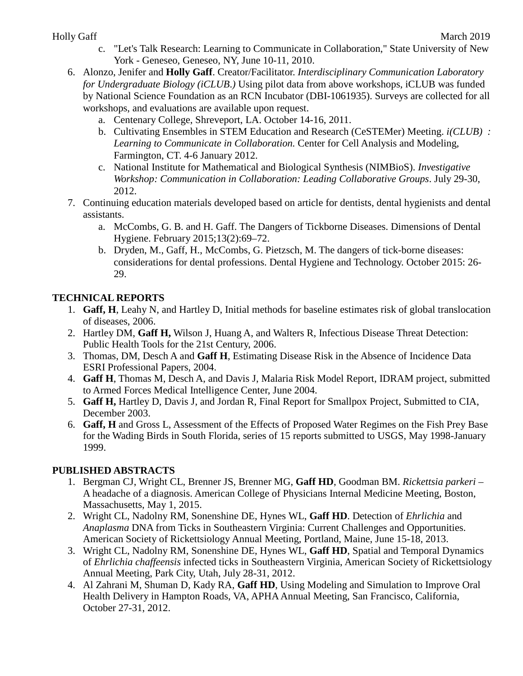- Holly Gaff March 2019
	- c. "Let's Talk Research: Learning to Communicate in Collaboration," State University of New York - Geneseo, Geneseo, NY, June 10-11, 2010.
	- 6. Alonzo, Jenifer and **Holly Gaff**. Creator/Facilitator. *Interdisciplinary Communication Laboratory for Undergraduate Biology (iCLUB*.*)* Using pilot data from above workshops, iCLUB was funded by National Science Foundation as an RCN Incubator (DBI-1061935). Surveys are collected for all workshops, and evaluations are available upon request.
		- a. Centenary College, Shreveport, LA. October 14-16, 2011.
		- b. Cultivating Ensembles in STEM Education and Research (CeSTEMer) Meeting. *i(CLUB) : Learning to Communicate in Collaboration.* Center for Cell Analysis and Modeling, Farmington, CT. 4-6 January 2012.
		- c. National Institute for Mathematical and Biological Synthesis (NIMBioS). *Investigative Workshop: Communication in Collaboration: Leading Collaborative Groups*. July 29-30, 2012.
	- 7. Continuing education materials developed based on article for dentists, dental hygienists and dental assistants.
		- a. McCombs, G. B. and H. Gaff. The Dangers of Tickborne Diseases. Dimensions of Dental Hygiene. February 2015;13(2):69–72.
		- b. Dryden, M., Gaff, H., McCombs, G. Pietzsch, M. The dangers of tick-borne diseases: considerations for dental professions. Dental Hygiene and Technology. October 2015: 26- 29.

# **TECHNICAL REPORTS**

- 1. **Gaff, H**, Leahy N, and Hartley D, Initial methods for baseline estimates risk of global translocation of diseases, 2006.
- 2. Hartley DM, **Gaff H,** Wilson J, Huang A, and Walters R, Infectious Disease Threat Detection: Public Health Tools for the 21st Century, 2006.
- 3. Thomas, DM, Desch A and **Gaff H**, Estimating Disease Risk in the Absence of Incidence Data ESRI Professional Papers, 2004.
- 4. **Gaff H**, Thomas M, Desch A, and Davis J, Malaria Risk Model Report, IDRAM project, submitted to Armed Forces Medical Intelligence Center, June 2004.
- 5. **Gaff H,** Hartley D, Davis J, and Jordan R, Final Report for Smallpox Project, Submitted to CIA, December 2003.
- 6. **Gaff, H** and Gross L, Assessment of the Effects of Proposed Water Regimes on the Fish Prey Base for the Wading Birds in South Florida, series of 15 reports submitted to USGS, May 1998-January 1999.

## **PUBLISHED ABSTRACTS**

- 1. Bergman CJ, Wright CL, Brenner JS, Brenner MG, **Gaff HD**, Goodman BM. *Rickettsia parkeri* A headache of a diagnosis. American College of Physicians Internal Medicine Meeting, Boston, Massachusetts, May 1, 2015.
- 2. Wright CL, Nadolny RM, Sonenshine DE, Hynes WL, **Gaff HD**. Detection of *Ehrlichia* and *Anaplasma* DNA from Ticks in Southeastern Virginia: Current Challenges and Opportunities. American Society of Rickettsiology Annual Meeting, Portland, Maine, June 15-18, 2013.
- 3. Wright CL, Nadolny RM, Sonenshine DE, Hynes WL, **Gaff HD**, Spatial and Temporal Dynamics of *Ehrlichia chaffeensis* infected ticks in Southeastern Virginia, American Society of Rickettsiology Annual Meeting, Park City, Utah, July 28-31, 2012.
- 4. Al Zahrani M, Shuman D, Kady RA, **Gaff HD**, Using Modeling and Simulation to Improve Oral Health Delivery in Hampton Roads, VA, APHA Annual Meeting, San Francisco, California, October 27-31, 2012.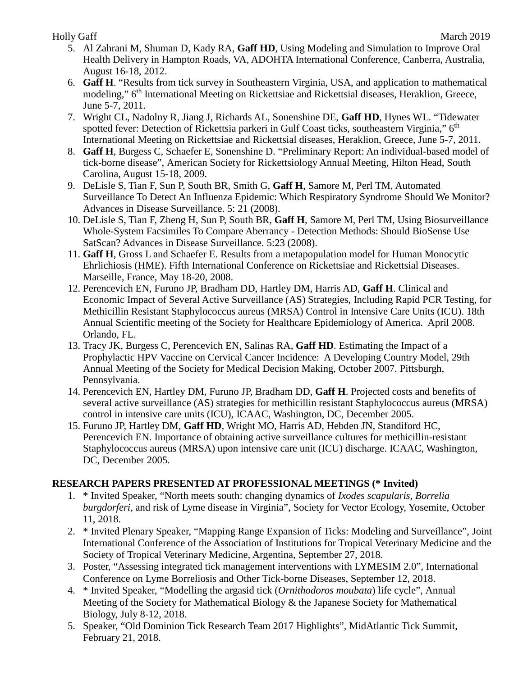- 5. Al Zahrani M, Shuman D, Kady RA, **Gaff HD**, Using Modeling and Simulation to Improve Oral Health Delivery in Hampton Roads, VA, ADOHTA International Conference, Canberra, Australia, August 16-18, 2012.
- 6. **Gaff H**. "Results from tick survey in Southeastern Virginia, USA, and application to mathematical modeling," 6<sup>th</sup> International Meeting on Rickettsiae and Rickettsial diseases, Heraklion, Greece, June 5-7, 2011.
- 7. Wright CL, Nadolny R, Jiang J, Richards AL, Sonenshine DE, **Gaff HD**, Hynes WL. "Tidewater spotted fever: Detection of Rickettsia parkeri in Gulf Coast ticks, southeastern Virginia," 6<sup>th</sup> International Meeting on Rickettsiae and Rickettsial diseases, Heraklion, Greece, June 5-7, 2011.
- 8. **Gaff H**, Burgess C, Schaefer E, Sonenshine D. "Preliminary Report: An individual-based model of tick-borne disease", American Society for Rickettsiology Annual Meeting, Hilton Head, South Carolina, August 15-18, 2009.
- 9. DeLisle S, Tian F, Sun P, South BR, Smith G, **Gaff H**, Samore M, Perl TM, Automated Surveillance To Detect An Influenza Epidemic: Which Respiratory Syndrome Should We Monitor? Advances in Disease Surveillance. 5: 21 (2008).
- 10. DeLisle S, Tian F, Zheng H, Sun P, South BR, **Gaff H**, Samore M, Perl TM, Using Biosurveillance Whole-System Facsimiles To Compare Aberrancy - Detection Methods: Should BioSense Use SatScan? Advances in Disease Surveillance. 5:23 (2008).
- 11. **Gaff H**, Gross L and Schaefer E. Results from a metapopulation model for Human Monocytic Ehrlichiosis (HME). Fifth International Conference on Rickettsiae and Rickettsial Diseases. Marseille, France, May 18-20, 2008.
- 12. Perencevich EN, Furuno JP, Bradham DD, Hartley DM, Harris AD, **Gaff H**. Clinical and Economic Impact of Several Active Surveillance (AS) Strategies, Including Rapid PCR Testing, for Methicillin Resistant Staphylococcus aureus (MRSA) Control in Intensive Care Units (ICU). 18th Annual Scientific meeting of the Society for Healthcare Epidemiology of America. April 2008. Orlando, FL.
- 13. Tracy JK, Burgess C, Perencevich EN, Salinas RA, **Gaff HD**. Estimating the Impact of a Prophylactic HPV Vaccine on Cervical Cancer Incidence: A Developing Country Model, 29th Annual Meeting of the Society for Medical Decision Making, October 2007. Pittsburgh, Pennsylvania.
- 14. Perencevich EN, Hartley DM, Furuno JP, Bradham DD, **Gaff H**. Projected costs and benefits of several active surveillance (AS) strategies for methicillin resistant Staphylococcus aureus (MRSA) control in intensive care units (ICU), ICAAC, Washington, DC, December 2005.
- 15. Furuno JP, Hartley DM, **Gaff HD**, Wright MO, Harris AD, Hebden JN, Standiford HC, Perencevich EN. Importance of obtaining active surveillance cultures for methicillin-resistant Staphylococcus aureus (MRSA) upon intensive care unit (ICU) discharge. ICAAC, Washington, DC, December 2005.

# **RESEARCH PAPERS PRESENTED AT PROFESSIONAL MEETINGS (\* Invited)**

- 1. \* Invited Speaker, "North meets south: changing dynamics of *Ixodes scapularis, Borrelia burgdorferi,* and risk of Lyme disease in Virginia", Society for Vector Ecology, Yosemite, October 11, 2018.
- 2. \* Invited Plenary Speaker, "Mapping Range Expansion of Ticks: Modeling and Surveillance", Joint International Conference of the Association of Institutions for Tropical Veterinary Medicine and the Society of Tropical Veterinary Medicine, Argentina, September 27, 2018.
- 3. Poster, "Assessing integrated tick management interventions with LYMESIM 2.0", International Conference on Lyme Borreliosis and Other Tick-borne Diseases, September 12, 2018.
- 4. \* Invited Speaker, "Modelling the argasid tick (*Ornithodoros moubata*) life cycle", Annual Meeting of the Society for Mathematical Biology & the Japanese Society for Mathematical Biology, July 8-12, 2018.
- 5. Speaker, "Old Dominion Tick Research Team 2017 Highlights", MidAtlantic Tick Summit, February 21, 2018.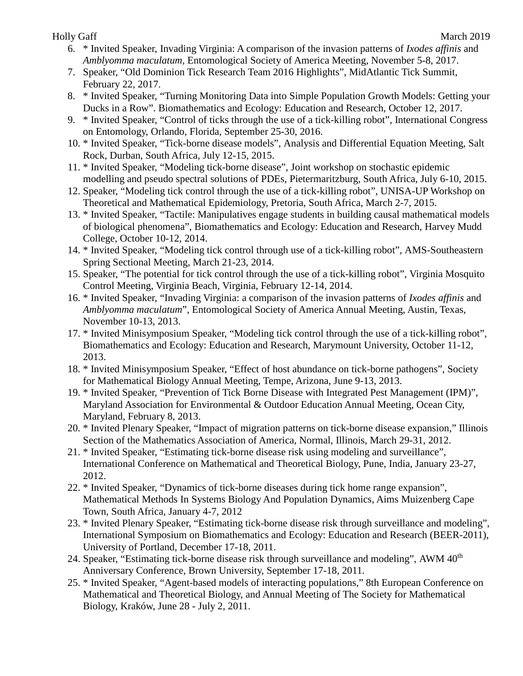- 6. \* Invited Speaker, Invading Virginia: A comparison of the invasion patterns of *Ixodes affinis* and *Amblyomma maculatum,* Entomological Society of America Meeting, November 5-8, 2017.
- 7. Speaker, "Old Dominion Tick Research Team 2016 Highlights", MidAtlantic Tick Summit, February 22, 2017.
- 8. \* Invited Speaker, "Turning Monitoring Data into Simple Population Growth Models: Getting your Ducks in a Row". Biomathematics and Ecology: Education and Research, October 12, 2017.
- 9. \* Invited Speaker, "Control of ticks through the use of a tick-killing robot", International Congress on Entomology, Orlando, Florida, September 25-30, 2016.
- 10. \* Invited Speaker, "Tick-borne disease models", Analysis and Differential Equation Meeting, Salt Rock, Durban, South Africa, July 12-15, 2015.
- 11. \* Invited Speaker, "Modeling tick-borne disease", Joint workshop on stochastic epidemic modelling and pseudo spectral solutions of PDEs, Pietermaritzburg, South Africa, July 6-10, 2015.
- 12. Speaker, "Modeling tick control through the use of a tick-killing robot", UNISA-UP Workshop on Theoretical and Mathematical Epidemiology, Pretoria, South Africa, March 2-7, 2015.
- 13. \* Invited Speaker, "Tactile: Manipulatives engage students in building causal mathematical models of biological phenomena", Biomathematics and Ecology: Education and Research, Harvey Mudd College, October 10-12, 2014.
- 14. \* Invited Speaker, "Modeling tick control through use of a tick-killing robot", AMS-Southeastern Spring Sectional Meeting, March 21-23, 2014.
- 15. Speaker, "The potential for tick control through the use of a tick-killing robot", Virginia Mosquito Control Meeting, Virginia Beach, Virginia, February 12-14, 2014.
- 16. \* Invited Speaker, "Invading Virginia: a comparison of the invasion patterns of *Ixodes affinis* and *Amblyomma maculatum*", Entomological Society of America Annual Meeting, Austin, Texas, November 10-13, 2013.
- 17. \* Invited Minisymposium Speaker, "Modeling tick control through the use of a tick-killing robot", Biomathematics and Ecology: Education and Research, Marymount University, October 11-12, 2013.
- 18. \* Invited Minisymposium Speaker, "Effect of host abundance on tick-borne pathogens", Society for Mathematical Biology Annual Meeting, Tempe, Arizona, June 9-13, 2013.
- 19. \* Invited Speaker, "Prevention of Tick Borne Disease with Integrated Pest Management (IPM)", Maryland Association for Environmental & Outdoor Education Annual Meeting, Ocean City, Maryland, February 8, 2013.
- 20. \* Invited Plenary Speaker, "Impact of migration patterns on tick-borne disease expansion," Illinois Section of the Mathematics Association of America, Normal, Illinois, March 29-31, 2012.
- 21. \* Invited Speaker, "Estimating tick-borne disease risk using modeling and surveillance", International Conference on Mathematical and Theoretical Biology, Pune, India, January 23-27, 2012.
- 22. \* Invited Speaker, "Dynamics of tick-borne diseases during tick home range expansion", Mathematical Methods In Systems Biology And Population Dynamics, Aims Muizenberg Cape Town, South Africa, January 4-7, 2012
- 23. \* Invited Plenary Speaker, "Estimating tick-borne disease risk through surveillance and modeling", International Symposium on Biomathematics and Ecology: Education and Research (BEER-2011), University of Portland, December 17-18, 2011.
- 24. Speaker, "Estimating tick-borne disease risk through surveillance and modeling", AWM 40<sup>th</sup> Anniversary Conference, Brown University, September 17-18, 2011.
- 25. \* Invited Speaker, "Agent-based models of interacting populations," 8th European Conference on Mathematical and Theoretical Biology, and Annual Meeting of The Society for Mathematical Biology, Kraków, June 28 - July 2, 2011.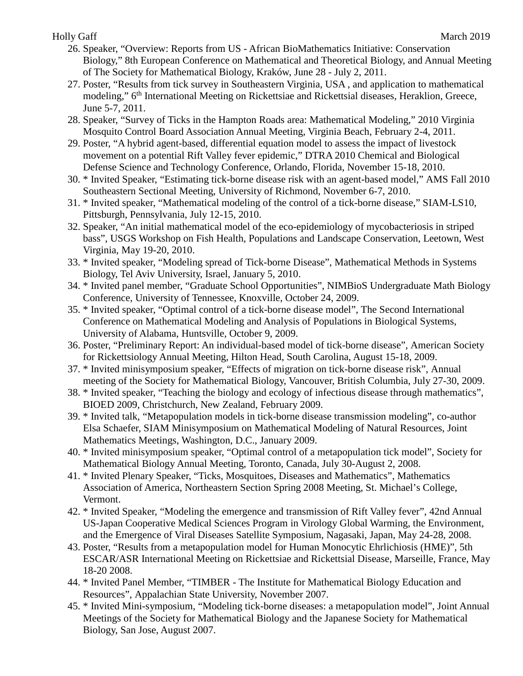- 26. Speaker, "Overview: Reports from US African BioMathematics Initiative: Conservation Biology," 8th European Conference on Mathematical and Theoretical Biology, and Annual Meeting of The Society for Mathematical Biology, Kraków, June 28 - July 2, 2011.
- 27. Poster, "Results from tick survey in Southeastern Virginia, USA , and application to mathematical modeling," 6<sup>th</sup> International Meeting on Rickettsiae and Rickettsial diseases, Heraklion, Greece, June 5-7, 2011.
- 28. Speaker, "Survey of Ticks in the Hampton Roads area: Mathematical Modeling," 2010 Virginia Mosquito Control Board Association Annual Meeting, Virginia Beach, February 2-4, 2011.
- 29. Poster, "A hybrid agent-based, differential equation model to assess the impact of livestock movement on a potential Rift Valley fever epidemic," DTRA 2010 Chemical and Biological Defense Science and Technology Conference, Orlando, Florida, November 15-18, 2010.
- 30. \* Invited Speaker, "Estimating tick-borne disease risk with an agent-based model," AMS Fall 2010 Southeastern Sectional Meeting, University of Richmond, November 6-7, 2010.
- 31. \* Invited speaker, "Mathematical modeling of the control of a tick-borne disease," SIAM-LS10, Pittsburgh, Pennsylvania, July 12-15, 2010.
- 32. Speaker, "An initial mathematical model of the eco-epidemiology of mycobacteriosis in striped bass", USGS Workshop on Fish Health, Populations and Landscape Conservation, Leetown, West Virginia, May 19-20, 2010.
- 33. \* Invited speaker, "Modeling spread of Tick-borne Disease", Mathematical Methods in Systems Biology, Tel Aviv University, Israel, January 5, 2010.
- 34. \* Invited panel member, "Graduate School Opportunities", NIMBioS Undergraduate Math Biology Conference, University of Tennessee, Knoxville, October 24, 2009.
- 35. \* Invited speaker, "Optimal control of a tick-borne disease model", The Second International Conference on Mathematical Modeling and Analysis of Populations in Biological Systems, University of Alabama, Huntsville, October 9, 2009.
- 36. Poster, "Preliminary Report: An individual-based model of tick-borne disease", American Society for Rickettsiology Annual Meeting, Hilton Head, South Carolina, August 15-18, 2009.
- 37. \* Invited minisymposium speaker, "Effects of migration on tick-borne disease risk", Annual meeting of the Society for Mathematical Biology, Vancouver, British Columbia, July 27-30, 2009.
- 38. \* Invited speaker, "Teaching the biology and ecology of infectious disease through mathematics", BIOED 2009, Christchurch, New Zealand, February 2009.
- 39. \* Invited talk, "Metapopulation models in tick-borne disease transmission modeling", co-author Elsa Schaefer, SIAM Minisymposium on Mathematical Modeling of Natural Resources, Joint Mathematics Meetings, Washington, D.C., January 2009.
- 40. \* Invited minisymposium speaker, "Optimal control of a metapopulation tick model", Society for Mathematical Biology Annual Meeting, Toronto, Canada, July 30-August 2, 2008.
- 41. \* Invited Plenary Speaker, "Ticks, Mosquitoes, Diseases and Mathematics", Mathematics Association of America, Northeastern Section Spring 2008 Meeting, St. Michael's College, Vermont.
- 42. \* Invited Speaker, "Modeling the emergence and transmission of Rift Valley fever", 42nd Annual US-Japan Cooperative Medical Sciences Program in Virology Global Warming, the Environment, and the Emergence of Viral Diseases Satellite Symposium, Nagasaki, Japan, May 24-28, 2008.
- 43. Poster, "Results from a metapopulation model for Human Monocytic Ehrlichiosis (HME)", 5th ESCAR/ASR International Meeting on Rickettsiae and Rickettsial Disease, Marseille, France, May 18-20 2008.
- 44. \* Invited Panel Member, "TIMBER The Institute for Mathematical Biology Education and Resources", Appalachian State University, November 2007.
- 45. \* Invited Mini-symposium, "Modeling tick-borne diseases: a metapopulation model", Joint Annual Meetings of the Society for Mathematical Biology and the Japanese Society for Mathematical Biology, San Jose, August 2007.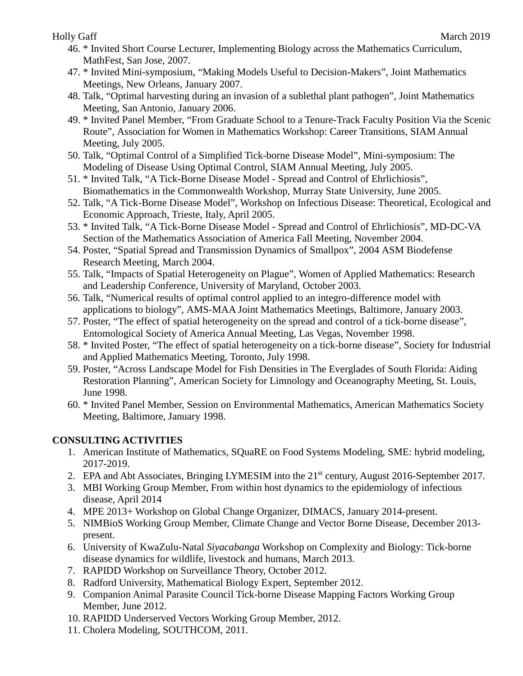- 46. \* Invited Short Course Lecturer, Implementing Biology across the Mathematics Curriculum, MathFest, San Jose, 2007.
- 47. \* Invited Mini-symposium, "Making Models Useful to Decision-Makers", Joint Mathematics Meetings, New Orleans, January 2007.
- 48. Talk, "Optimal harvesting during an invasion of a sublethal plant pathogen", Joint Mathematics Meeting, San Antonio, January 2006.
- 49. \* Invited Panel Member, "From Graduate School to a Tenure-Track Faculty Position Via the Scenic Route", Association for Women in Mathematics Workshop: Career Transitions, SIAM Annual Meeting, July 2005.
- 50. Talk, "Optimal Control of a Simplified Tick-borne Disease Model", Mini-symposium: The Modeling of Disease Using Optimal Control, SIAM Annual Meeting, July 2005.
- 51. \* Invited Talk, "A Tick-Borne Disease Model Spread and Control of Ehrlichiosis", Biomathematics in the Commonwealth Workshop, Murray State University, June 2005.
- 52. Talk, "A Tick-Borne Disease Model", Workshop on Infectious Disease: Theoretical, Ecological and Economic Approach, Trieste, Italy, April 2005.
- 53. \* Invited Talk, "A Tick-Borne Disease Model Spread and Control of Ehrlichiosis", MD-DC-VA Section of the Mathematics Association of America Fall Meeting, November 2004.
- 54. Poster, "Spatial Spread and Transmission Dynamics of Smallpox", 2004 ASM Biodefense Research Meeting, March 2004.
- 55. Talk, "Impacts of Spatial Heterogeneity on Plague", Women of Applied Mathematics: Research and Leadership Conference, University of Maryland, October 2003.
- 56. Talk, "Numerical results of optimal control applied to an integro-difference model with applications to biology", AMS-MAA Joint Mathematics Meetings, Baltimore, January 2003.
- 57. Poster, "The effect of spatial heterogeneity on the spread and control of a tick-borne disease", Entomological Society of America Annual Meeting, Las Vegas, November 1998.
- 58. \* Invited Poster, "The effect of spatial heterogeneity on a tick-borne disease", Society for Industrial and Applied Mathematics Meeting, Toronto, July 1998.
- 59. Poster, "Across Landscape Model for Fish Densities in The Everglades of South Florida: Aiding Restoration Planning", American Society for Limnology and Oceanography Meeting, St. Louis, June 1998.
- 60. \* Invited Panel Member, Session on Environmental Mathematics, American Mathematics Society Meeting, Baltimore, January 1998.

# **CONSULTING ACTIVITIES**

- 1. American Institute of Mathematics, SQuaRE on Food Systems Modeling, SME: hybrid modeling, 2017-2019.
- 2. EPA and Abt Associates, Bringing LYMESIM into the 21<sup>st</sup> century, August 2016-September 2017.
- 3. MBI Working Group Member, From within host dynamics to the epidemiology of infectious disease, April 2014
- 4. MPE 2013+ Workshop on Global Change Organizer, DIMACS, January 2014-present.
- 5. NIMBioS Working Group Member, Climate Change and Vector Borne Disease, December 2013 present.
- 6. University of KwaZulu-Natal *Siyacabanga* Workshop on Complexity and Biology: Tick-borne disease dynamics for wildlife, livestock and humans, March 2013.
- 7. RAPIDD Workshop on Surveillance Theory, October 2012.
- 8. Radford University, Mathematical Biology Expert, September 2012.
- 9. Companion Animal Parasite Council Tick-borne Disease Mapping Factors Working Group Member, June 2012.
- 10. RAPIDD Underserved Vectors Working Group Member, 2012.
- 11. Cholera Modeling, SOUTHCOM, 2011.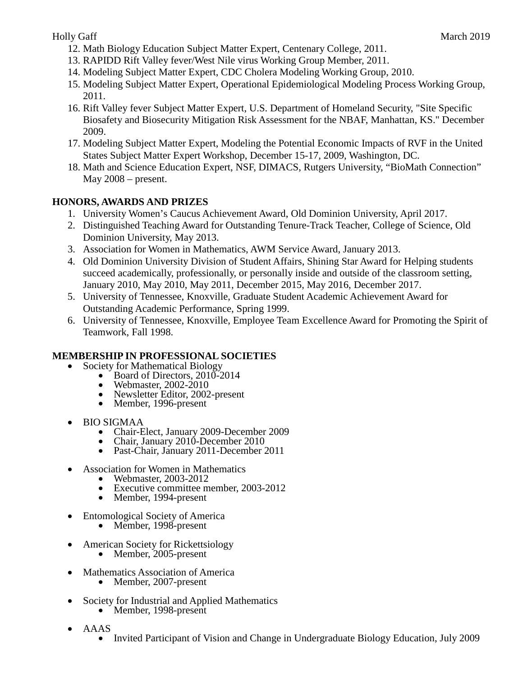- 12. Math Biology Education Subject Matter Expert, Centenary College, 2011.
- 13. RAPIDD Rift Valley fever/West Nile virus Working Group Member, 2011.
- 14. Modeling Subject Matter Expert, CDC Cholera Modeling Working Group, 2010.
- 15. Modeling Subject Matter Expert, Operational Epidemiological Modeling Process Working Group, 2011.
- 16. Rift Valley fever Subject Matter Expert, U.S. Department of Homeland Security, "Site Specific Biosafety and Biosecurity Mitigation Risk Assessment for the NBAF, Manhattan, KS." December 2009.
- 17. Modeling Subject Matter Expert, Modeling the Potential Economic Impacts of RVF in the United States Subject Matter Expert Workshop, December 15-17, 2009, Washington, DC.
- 18. Math and Science Education Expert, NSF, DIMACS, Rutgers University, "BioMath Connection" May 2008 – present.

## **HONORS, AWARDS AND PRIZES**

- 1. University Women's Caucus Achievement Award, Old Dominion University, April 2017.
- 2. Distinguished Teaching Award for Outstanding Tenure-Track Teacher, College of Science, Old Dominion University, May 2013.
- 3. Association for Women in Mathematics, AWM Service Award, January 2013.
- 4. Old Dominion University Division of Student Affairs, Shining Star Award for Helping students succeed academically, professionally, or personally inside and outside of the classroom setting, January 2010, May 2010, May 2011, December 2015, May 2016, December 2017.
- 5. University of Tennessee, Knoxville, Graduate Student Academic Achievement Award for Outstanding Academic Performance, Spring 1999.
- 6. University of Tennessee, Knoxville, Employee Team Excellence Award for Promoting the Spirit of Teamwork, Fall 1998.

# **MEMBERSHIP IN PROFESSIONAL SOCIETIES**<br>
• Society for Mathematical Biology<br>
• Board of Directors, 2010-2014<br>
• Webmaster, 2002-2010<br>
• Newsletter Editor, 2002-present<br>
• Member, 1996-present

- - -
		-
		-
- 
- BIO SIGMAA Chair-Elect, January 2009-December 2009 Chair, January 2010-December 2010 Past-Chair, January 2011-December 2011
	-
	-
- -
	- Association for Women in Mathematics Webmaster, 2003-2012 Executive committee member, 2003-2012 Member, 1994-present
		-
- Entomological Society of America Member, 1998-present
	-
- American Society for Rickettsiology Member, 2005-present
	-
- Mathematics Association of America<br>• Member, 2007-present
	-
- Society for Industrial and Applied Mathematics Member, 1998-present
	-
- 
- AAAS<br>• Invited Participant of Vision and Change in Undergraduate Biology Education, July 2009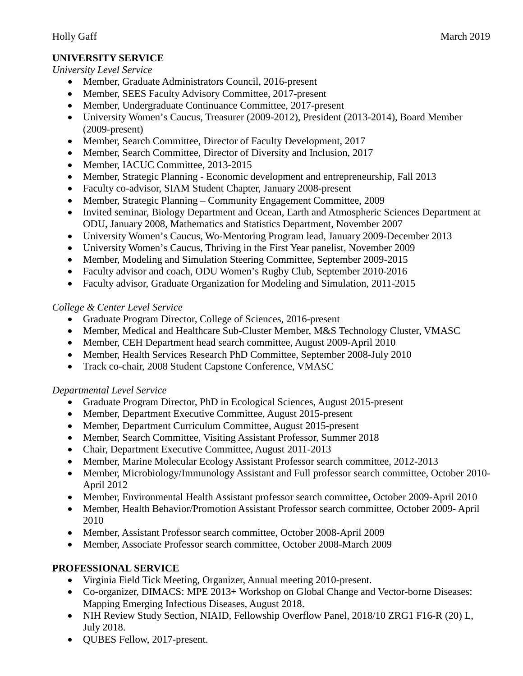# **UNIVERSITY SERVICE**

*University Level Service*

- Member, Graduate Administrators Council, 2016-present
- Member, SEES Faculty Advisory Committee, 2017-present
- Member, Undergraduate Continuance Committee, 2017-present
- University Women's Caucus, Treasurer (2009-2012), President (2013-2014), Board Member (2009-present)
- Member, Search Committee, Director of Faculty Development, 2017
- Member, Search Committee, Director of Diversity and Inclusion, 2017
- Member, IACUC Committee, 2013-2015
- Member, Strategic Planning Economic development and entrepreneurship, Fall 2013
- Faculty co-advisor, SIAM Student Chapter, January 2008-present
- Member, Strategic Planning Community Engagement Committee, 2009
- Invited seminar, Biology Department and Ocean, Earth and Atmospheric Sciences Department at ODU, January 2008, Mathematics and Statistics Department, November 2007
- University Women's Caucus, Wo-Mentoring Program lead, January 2009-December 2013
- University Women's Caucus, Thriving in the First Year panelist, November 2009
- Member, Modeling and Simulation Steering Committee, September 2009-2015
- Faculty advisor and coach, ODU Women's Rugby Club, September 2010-2016
- Faculty advisor, Graduate Organization for Modeling and Simulation, 2011-2015

# *College & Center Level Service*

- Graduate Program Director, College of Sciences, 2016-present
- Member, Medical and Healthcare Sub-Cluster Member, M&S Technology Cluster, VMASC
- Member, CEH Department head search committee, August 2009-April 2010
- Member, Health Services Research PhD Committee, September 2008-July 2010
- Track co-chair, 2008 Student Capstone Conference, VMASC

# *Departmental Level Service*

- Graduate Program Director, PhD in Ecological Sciences, August 2015-present
- Member, Department Executive Committee, August 2015-present
- Member, Department Curriculum Committee, August 2015-present
- Member, Search Committee, Visiting Assistant Professor, Summer 2018
- Chair, Department Executive Committee, August 2011-2013
- Member, Marine Molecular Ecology Assistant Professor search committee, 2012-2013
- Member, Microbiology/Immunology Assistant and Full professor search committee, October 2010- April 2012
- Member, Environmental Health Assistant professor search committee, October 2009-April 2010
- Member, Health Behavior/Promotion Assistant Professor search committee, October 2009- April 2010
- Member, Assistant Professor search committee, October 2008-April 2009
- Member, Associate Professor search committee, October 2008-March 2009

# **PROFESSIONAL SERVICE**

- Virginia Field Tick Meeting, Organizer, Annual meeting 2010-present.
- Co-organizer, DIMACS: MPE 2013+ Workshop on Global Change and Vector-borne Diseases: Mapping Emerging Infectious Diseases, August 2018.
- NIH Review Study Section, NIAID, Fellowship Overflow Panel, 2018/10 ZRG1 F16-R (20) L, July 2018.
- QUBES Fellow, 2017-present.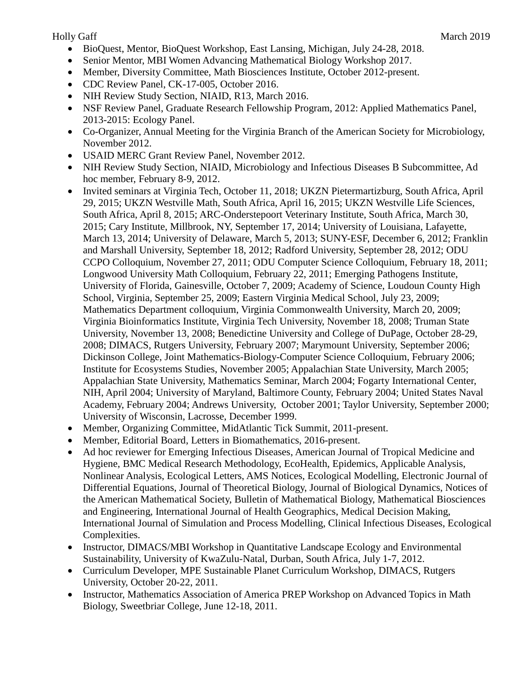- BioQuest, Mentor, BioQuest Workshop, East Lansing, Michigan, July 24-28, 2018.
- Senior Mentor, MBI Women Advancing Mathematical Biology Workshop 2017.
- Member, Diversity Committee, Math Biosciences Institute, October 2012-present.
- CDC Review Panel, CK-17-005, October 2016.
- NIH Review Study Section, NIAID, R13, March 2016.
- NSF Review Panel, Graduate Research Fellowship Program, 2012: Applied Mathematics Panel, 2013-2015: Ecology Panel.
- Co-Organizer, Annual Meeting for the Virginia Branch of the American Society for Microbiology, November 2012.
- USAID MERC Grant Review Panel, November 2012.
- NIH Review Study Section, NIAID, Microbiology and Infectious Diseases B Subcommittee, Ad hoc member, February 8-9, 2012.
- Invited seminars at Virginia Tech, October 11, 2018; UKZN Pietermartizburg, South Africa, April 29, 2015; UKZN Westville Math, South Africa, April 16, 2015; UKZN Westville Life Sciences, South Africa, April 8, 2015; ARC-Onderstepoort Veterinary Institute, South Africa, March 30, 2015; Cary Institute, Millbrook, NY, September 17, 2014; University of Louisiana, Lafayette, March 13, 2014; University of Delaware, March 5, 2013; SUNY-ESF, December 6, 2012; Franklin and Marshall University, September 18, 2012; Radford University, September 28, 2012; ODU CCPO Colloquium, November 27, 2011; ODU Computer Science Colloquium, February 18, 2011; Longwood University Math Colloquium, February 22, 2011; Emerging Pathogens Institute, University of Florida, Gainesville, October 7, 2009; Academy of Science, Loudoun County High School, Virginia, September 25, 2009; Eastern Virginia Medical School, July 23, 2009; Mathematics Department colloquium, Virginia Commonwealth University, March 20, 2009; Virginia Bioinformatics Institute, Virginia Tech University, November 18, 2008; Truman State University, November 13, 2008; Benedictine University and College of DuPage, October 28-29, 2008; DIMACS, Rutgers University, February 2007; Marymount University, September 2006; Dickinson College, Joint Mathematics-Biology-Computer Science Colloquium, February 2006; Institute for Ecosystems Studies, November 2005; Appalachian State University, March 2005; Appalachian State University, Mathematics Seminar, March 2004; Fogarty International Center, NIH, April 2004; University of Maryland, Baltimore County, February 2004; United States Naval Academy, February 2004; Andrews University, October 2001; Taylor University, September 2000; University of Wisconsin, Lacrosse, December 1999.
- Member, Organizing Committee, MidAtlantic Tick Summit, 2011-present.
- Member, Editorial Board, Letters in Biomathematics, 2016-present.
- Ad hoc reviewer for Emerging Infectious Diseases, American Journal of Tropical Medicine and Hygiene, BMC Medical Research Methodology, EcoHealth, Epidemics, Applicable Analysis, Nonlinear Analysis, Ecological Letters, AMS Notices, Ecological Modelling, Electronic Journal of Differential Equations, Journal of Theoretical Biology, Journal of Biological Dynamics, Notices of the American Mathematical Society, Bulletin of Mathematical Biology, Mathematical Biosciences and Engineering, International Journal of Health Geographics, Medical Decision Making, International Journal of Simulation and Process Modelling, Clinical Infectious Diseases, Ecological Complexities.
- Instructor, DIMACS/MBI Workshop in Quantitative Landscape Ecology and Environmental Sustainability, University of KwaZulu-Natal, Durban, South Africa, July 1-7, 2012.
- Curriculum Developer, MPE Sustainable Planet Curriculum Workshop, DIMACS, Rutgers University, October 20-22, 2011.
- Instructor, Mathematics Association of America PREP Workshop on Advanced Topics in Math Biology, Sweetbriar College, June 12-18, 2011.